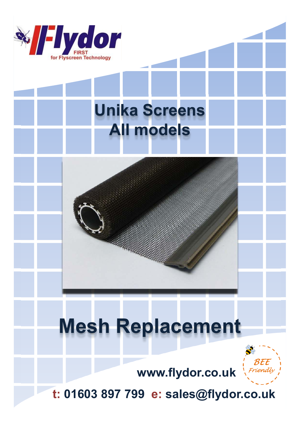

## **Unika Screens All models**

## **Mesh Replacement**



**www.flydor.co.uk**

**t: 01603 897 799 e: sales@flydor.co.uk**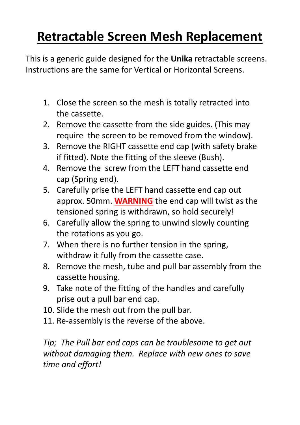## **Retractable Screen Mesh Replacement**

This is a generic guide designed for the **Unika** retractable screens. Instructions are the same for Vertical or Horizontal Screens.

- 1. Close the screen so the mesh is totally retracted into the cassette.
- 2. Remove the cassette from the side guides. (This may require the screen to be removed from the window).
- 3. Remove the RIGHT cassette end cap (with safety brake if fitted). Note the fitting of the sleeve (Bush).
- 4. Remove the screw from the LEFT hand cassette end cap (Spring end).
- 5. Carefully prise the LEFT hand cassette end cap out approx. 50mm. **WARNING** the end cap will twist as the tensioned spring is withdrawn, so hold securely!
- 6. Carefully allow the spring to unwind slowly counting the rotations as you go.
- 7. When there is no further tension in the spring, withdraw it fully from the cassette case.
- 8. Remove the mesh, tube and pull bar assembly from the cassette housing.
- 9. Take note of the fitting of the handles and carefully prise out a pull bar end cap.
- 10. Slide the mesh out from the pull bar.
- 11. Re-assembly is the reverse of the above.

*Tip; The Pull bar end caps can be troublesome to get out without damaging them. Replace with new ones to save time and effort!*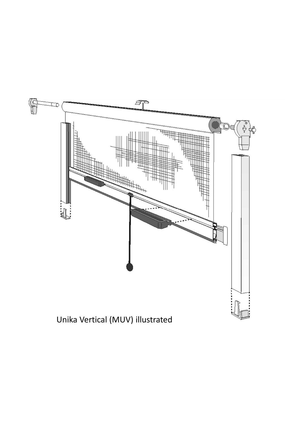